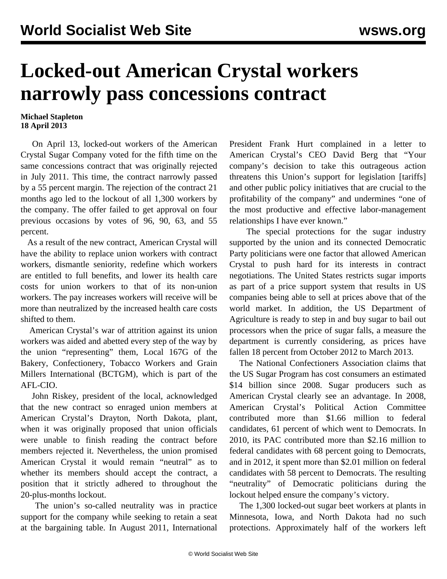## **Locked-out American Crystal workers narrowly pass concessions contract**

## **Michael Stapleton 18 April 2013**

 On April 13, locked-out workers of the American Crystal Sugar Company voted for the fifth time on the same concessions contract that was originally rejected in July 2011. This time, the contract narrowly passed by a 55 percent margin. The rejection of the contract 21 months ago led to the lockout of all 1,300 workers by the company. The offer failed to get approval on four previous occasions by votes of 96, 90, 63, and 55 percent.

 As a result of the new contract, American Crystal will have the ability to replace union workers with contract workers, dismantle seniority, redefine which workers are entitled to full benefits, and lower its health care costs for union workers to that of its non-union workers. The pay increases workers will receive will be more than neutralized by the increased health care costs shifted to them.

 American Crystal's war of attrition against its union workers was aided and abetted every step of the way by the union "representing" them, Local 167G of the Bakery, Confectionery, Tobacco Workers and Grain Millers International (BCTGM), which is part of the AFL-CIO.

 John Riskey, president of the local, acknowledged that the new contract so enraged union members at American Crystal's Drayton, North Dakota, plant, when it was originally proposed that union officials were unable to finish reading the contract before members rejected it. Nevertheless, the union promised American Crystal it would remain "neutral" as to whether its members should accept the contract, a position that it strictly adhered to throughout the 20-plus-months lockout.

 The union's so-called neutrality was in practice support for the company while seeking to retain a seat at the bargaining table. In August 2011, International

President Frank Hurt complained in a letter to American Crystal's CEO David Berg that "Your company's decision to take this outrageous action threatens this Union's support for legislation [tariffs] and other public policy initiatives that are crucial to the profitability of the company" and undermines "one of the most productive and effective labor-management relationships I have ever known."

 The special protections for the sugar industry supported by the union and its connected Democratic Party politicians were one factor that allowed American Crystal to push hard for its interests in contract negotiations. The United States restricts sugar imports as part of a price support system that results in US companies being able to sell at prices above that of the world market. In addition, the US Department of Agriculture is ready to step in and buy sugar to bail out processors when the price of sugar falls, a measure the department is currently considering, as prices have fallen 18 percent from October 2012 to March 2013.

 The National Confectioners Association claims that the US Sugar Program has cost consumers an estimated \$14 billion since 2008. Sugar producers such as American Crystal clearly see an advantage. In 2008, American Crystal's Political Action Committee contributed more than \$1.66 million to federal candidates, 61 percent of which went to Democrats. In 2010, its PAC contributed more than \$2.16 million to federal candidates with 68 percent going to Democrats, and in 2012, it spent more than \$2.01 million on federal candidates with 58 percent to Democrats. The resulting "neutrality" of Democratic politicians during the lockout helped ensure the company's victory.

 The 1,300 locked-out sugar beet workers at plants in Minnesota, Iowa, and North Dakota had no such protections. Approximately half of the workers left